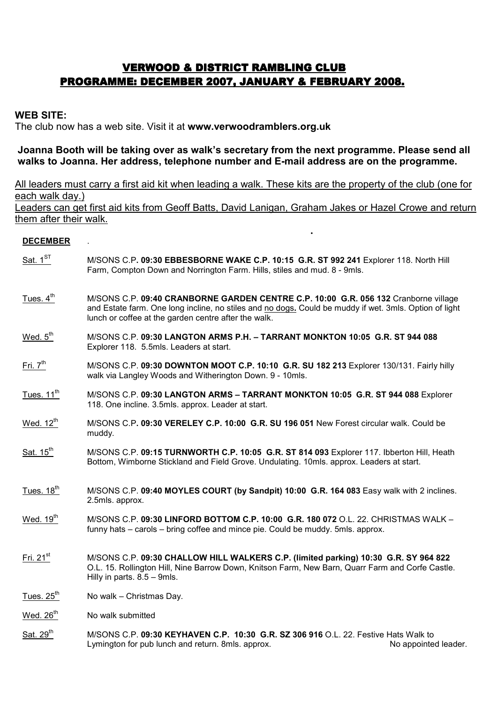# VERWOOD & DISTRICT RAMBLING CLUB PROGRAMME: DECEMBER 2007, JANUARY & FEBRUARY 2008.

### WEB SITE:

The club now has a web site. Visit it at www.verwoodramblers.org.uk

<u>. In the second contract of the second contract of the second contract of the second contract of the second co</u><br>In the second contract of the second contract of the second contract of the second contract of the second con

## Joanna Booth will be taking over as walk's secretary from the next programme. Please send all walks to Joanna. Her address, telephone number and E-mail address are on the programme.

All leaders must carry a first aid kit when leading a walk. These kits are the property of the club (one for each walk day.) Leaders can get first aid kits from Geoff Batts, David Lanigan, Graham Jakes or Hazel Crowe and return them after their walk.

#### **DECEMBER**

- Sat.  $1^{ST}$  M/SONS C.P. 09:30 EBBESBORNE WAKE C.P. 10:15 G.R. ST 992 241 Explorer 118. North Hill Farm, Compton Down and Norrington Farm. Hills, stiles and mud. 8 - 9mls.
- Tues. 4<sup>th</sup> M/SONS C.P. 09:40 CRANBORNE GARDEN CENTRE C.P. 10:00 G.R. 056 132 Cranborne village and Estate farm. One long incline, no stiles and no dogs. Could be muddy if wet. 3mls. Option of light lunch or coffee at the garden centre after the walk.
- Wed.  $5<sup>th</sup>$  M/SONS C.P. 09:30 LANGTON ARMS P.H. TARRANT MONKTON 10:05 G.R. ST 944 088 Explorer 118. 5.5mls. Leaders at start.
- Fri. 7<sup>th</sup> M/SONS C.P. 09:30 DOWNTON MOOT C.P. 10:10 G.R. SU 182 213 Explorer 130/131. Fairly hilly walk via Langley Woods and Witherington Down. 9 - 10mls.
- Tues. 11<sup>th</sup> M/SONS C.P. 09:30 LANGTON ARMS TARRANT MONKTON 10:05 G.R. ST 944 088 Explorer 118. One incline. 3.5mls. approx. Leader at start.
- Wed. 12<sup>th</sup> M/SONS C.P. 09:30 VERELEY C.P. 10:00 G.R. SU 196 051 New Forest circular walk. Could be muddy.
- Sat. 15<sup>th</sup> M/SONS C.P. 09:15 TURNWORTH C.P. 10:05 G.R. ST 814 093 Explorer 117. Ibberton Hill, Heath Bottom, Wimborne Stickland and Field Grove. Undulating. 10mls. approx. Leaders at start.
- Tues.  $18<sup>th</sup>$  M/SONS C.P. 09:40 MOYLES COURT (by Sandpit) 10:00 G.R. 164 083 Easy walk with 2 inclines. 2.5mls. approx.
- Wed.  $19<sup>th</sup>$  M/SONS C.P. 09:30 LINFORD BOTTOM C.P. 10:00 G.R. 180 072 O.L. 22. CHRISTMAS WALK funny hats – carols – bring coffee and mince pie. Could be muddy. 5mls. approx.
- Fri. 21<sup>st</sup> M/SONS C.P. 09:30 CHALLOW HILL WALKERS C.P. (limited parking) 10:30 G.R. SY 964 822 O.L. 15. Rollington Hill, Nine Barrow Down, Knitson Farm, New Barn, Quarr Farm and Corfe Castle. Hilly in parts. 8.5 – 9mls.
- Tues.  $25<sup>th</sup>$  No walk Christmas Day.
- Wed.  $26<sup>th</sup>$  No walk submitted
- Sat.  $29<sup>th</sup>$  M/SONS C.P. 09:30 KEYHAVEN C.P. 10:30 G.R. SZ 306 916 O.L. 22. Festive Hats Walk to Lymington for pub lunch and return. 8mls. approx. No appointed leader.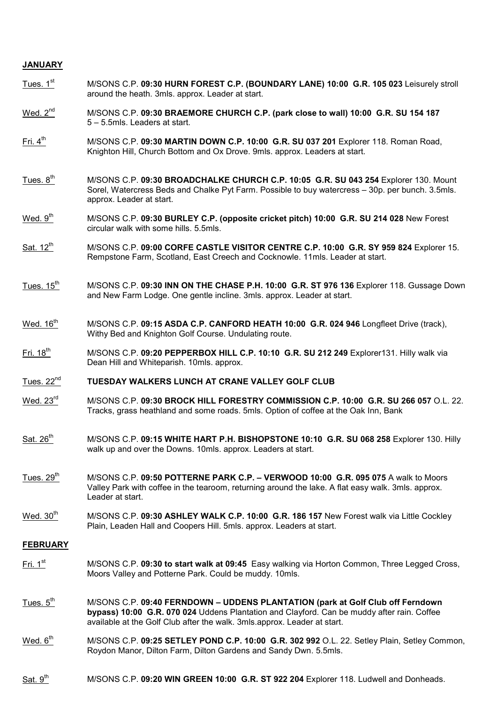#### JANUARY

- Tues. 1<sup>st</sup> M/SONS C.P. 09:30 HURN FOREST C.P. (BOUNDARY LANE) 10:00 G.R. 105 023 Leisurely stroll around the heath. 3mls. approx. Leader at start.
- Wed.  $2^{nd}$  M/SONS C.P. 09:30 BRAEMORE CHURCH C.P. (park close to wall) 10:00 G.R. SU 154 187 5 – 5.5mls. Leaders at start.
- Fri. 4<sup>th</sup> M/SONS C.P. 09:30 MARTIN DOWN C.P. 10:00 G.R. SU 037 201 Explorer 118. Roman Road, Knighton Hill, Church Bottom and Ox Drove. 9mls. approx. Leaders at start.
- Tues.  $8<sup>th</sup>$  M/SONS C.P. 09:30 BROADCHALKE CHURCH C.P. 10:05 G.R. SU 043 254 Explorer 130. Mount Sorel, Watercress Beds and Chalke Pyt Farm. Possible to buy watercress – 30p. per bunch. 3.5mls. approx. Leader at start.
- Wed. 9<sup>th</sup> M/SONS C.P. 09:30 BURLEY C.P. (opposite cricket pitch) 10:00 G.R. SU 214 028 New Forest circular walk with some hills. 5.5mls.
- Sat.  $12^{th}$  M/SONS C.P. 09:00 CORFE CASTLE VISITOR CENTRE C.P. 10:00 G.R. SY 959 824 Explorer 15. Rempstone Farm, Scotland, East Creech and Cocknowle. 11mls. Leader at start.
- Tues. 15<sup>th</sup> M/SONS C.P. 09:30 INN ON THE CHASE P.H. 10:00 G.R. ST 976 136 Explorer 118. Gussage Down and New Farm Lodge. One gentle incline. 3mls. approx. Leader at start.
- Wed.  $16<sup>th</sup>$  M/SONS C.P. 09:15 ASDA C.P. CANFORD HEATH 10:00 G.R. 024 946 Longfleet Drive (track), Withy Bed and Knighton Golf Course. Undulating route.
- Fri.  $18<sup>th</sup>$  M/SONS C.P. 09:20 PEPPERBOX HILL C.P. 10:10 G.R. SU 212 249 Explorer131. Hilly walk via Dean Hill and Whiteparish. 10mls. approx.
- Tues. 22<sup>nd</sup> TUESDAY WALKERS LUNCH AT CRANE VALLEY GOLF CLUB
- Wed. 23<sup>rd</sup> M/SONS C.P. 09:30 BROCK HILL FORESTRY COMMISSION C.P. 10:00 G.R. SU 266 057 O.L. 22. Tracks, grass heathland and some roads. 5mls. Option of coffee at the Oak Inn, Bank
- Sat. 26<sup>th</sup> M/SONS C.P. 09:15 WHITE HART P.H. BISHOPSTONE 10:10 G.R. SU 068 258 Explorer 130. Hilly walk up and over the Downs. 10mls. approx. Leaders at start.
- Tues. 29<sup>th</sup> M/SONS C.P. 09:50 POTTERNE PARK C.P. – VERWOOD 10:00 G.R. 095 075 A walk to Moors Valley Park with coffee in the tearoom, returning around the lake. A flat easy walk. 3mls. approx. Leader at start.
- Wed. 30<sup>th</sup> M/SONS C.P. 09:30 ASHLEY WALK C.P. 10:00 G.R. 186 157 New Forest walk via Little Cockley Plain, Leaden Hall and Coopers Hill. 5mls. approx. Leaders at start.

#### FEBRUARY

- Fri. 1<sup>st</sup> M/SONS C.P. 09:30 to start walk at 09:45 Easy walking via Horton Common, Three Legged Cross, Moors Valley and Potterne Park. Could be muddy. 10mls.
- Tues.  $5<sup>th</sup>$  M/SONS C.P. 09:40 FERNDOWN UDDENS PLANTATION (park at Golf Club off Ferndown bypass) 10:00 G.R. 070 024 Uddens Plantation and Clayford. Can be muddy after rain. Coffee available at the Golf Club after the walk. 3mls.approx. Leader at start.
- Wed. 6<sup>th</sup> M/SONS C.P. 09:25 SETLEY POND C.P. 10:00 G.R. 302 992 O.L. 22. Setley Plain, Setley Common, Roydon Manor, Dilton Farm, Dilton Gardens and Sandy Dwn. 5.5mls.
- Sat. 9<sup>th</sup> M/SONS C.P. 09:20 WIN GREEN 10:00 G.R. ST 922 204 Explorer 118. Ludwell and Donheads.